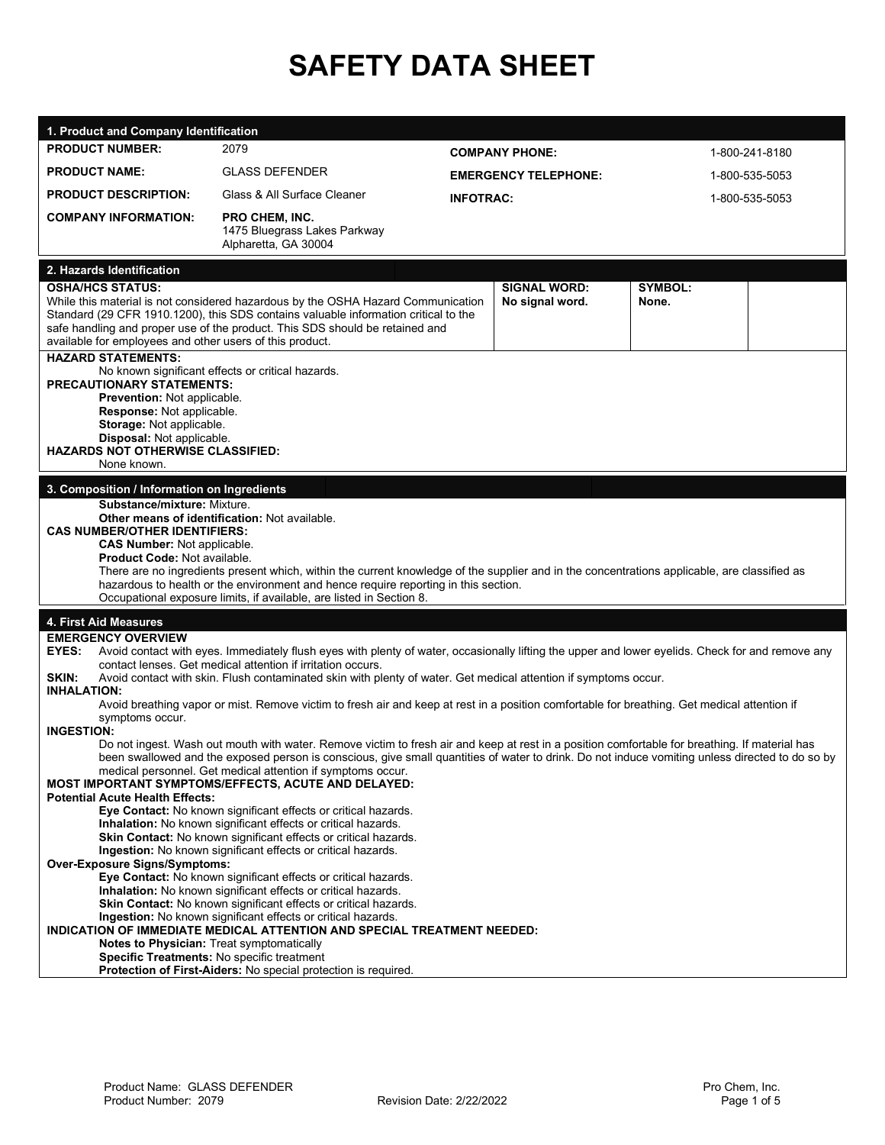# **SAFETY DATA SHEET**

| 1. Product and Company Identification                                                                                                                                                                                                                                                                                                                                                                                                                                                                                                                                                                                                                                                                                                                                                                                                                                                                                                                                                                                                                                                                                                                                                                                                                                                         |                                                                                                                                                                                                                                                         |                             |                                        |                         |                |  |
|-----------------------------------------------------------------------------------------------------------------------------------------------------------------------------------------------------------------------------------------------------------------------------------------------------------------------------------------------------------------------------------------------------------------------------------------------------------------------------------------------------------------------------------------------------------------------------------------------------------------------------------------------------------------------------------------------------------------------------------------------------------------------------------------------------------------------------------------------------------------------------------------------------------------------------------------------------------------------------------------------------------------------------------------------------------------------------------------------------------------------------------------------------------------------------------------------------------------------------------------------------------------------------------------------|---------------------------------------------------------------------------------------------------------------------------------------------------------------------------------------------------------------------------------------------------------|-----------------------------|----------------------------------------|-------------------------|----------------|--|
| <b>PRODUCT NUMBER:</b>                                                                                                                                                                                                                                                                                                                                                                                                                                                                                                                                                                                                                                                                                                                                                                                                                                                                                                                                                                                                                                                                                                                                                                                                                                                                        | 2079                                                                                                                                                                                                                                                    | <b>COMPANY PHONE:</b>       |                                        | 1-800-241-8180          |                |  |
| <b>PRODUCT NAME:</b>                                                                                                                                                                                                                                                                                                                                                                                                                                                                                                                                                                                                                                                                                                                                                                                                                                                                                                                                                                                                                                                                                                                                                                                                                                                                          | <b>GLASS DEFENDER</b>                                                                                                                                                                                                                                   | <b>EMERGENCY TELEPHONE:</b> |                                        | 1-800-535-5053          |                |  |
| <b>PRODUCT DESCRIPTION:</b>                                                                                                                                                                                                                                                                                                                                                                                                                                                                                                                                                                                                                                                                                                                                                                                                                                                                                                                                                                                                                                                                                                                                                                                                                                                                   | Glass & All Surface Cleaner                                                                                                                                                                                                                             | <b>INFOTRAC:</b>            |                                        |                         | 1-800-535-5053 |  |
| <b>COMPANY INFORMATION:</b>                                                                                                                                                                                                                                                                                                                                                                                                                                                                                                                                                                                                                                                                                                                                                                                                                                                                                                                                                                                                                                                                                                                                                                                                                                                                   | <b>PRO CHEM, INC.</b><br>1475 Bluegrass Lakes Parkway<br>Alpharetta, GA 30004                                                                                                                                                                           |                             |                                        |                         |                |  |
| 2. Hazards Identification                                                                                                                                                                                                                                                                                                                                                                                                                                                                                                                                                                                                                                                                                                                                                                                                                                                                                                                                                                                                                                                                                                                                                                                                                                                                     |                                                                                                                                                                                                                                                         |                             |                                        |                         |                |  |
| <b>OSHA/HCS STATUS:</b><br>available for employees and other users of this product.                                                                                                                                                                                                                                                                                                                                                                                                                                                                                                                                                                                                                                                                                                                                                                                                                                                                                                                                                                                                                                                                                                                                                                                                           | While this material is not considered hazardous by the OSHA Hazard Communication<br>Standard (29 CFR 1910.1200), this SDS contains valuable information critical to the<br>safe handling and proper use of the product. This SDS should be retained and |                             | <b>SIGNAL WORD:</b><br>No signal word. | <b>SYMBOL:</b><br>None. |                |  |
| <b>HAZARD STATEMENTS:</b><br>No known significant effects or critical hazards.<br><b>PRECAUTIONARY STATEMENTS:</b><br>Prevention: Not applicable.<br>Response: Not applicable.<br>Storage: Not applicable.<br>Disposal: Not applicable.<br><b>HAZARDS NOT OTHERWISE CLASSIFIED:</b><br>None known.                                                                                                                                                                                                                                                                                                                                                                                                                                                                                                                                                                                                                                                                                                                                                                                                                                                                                                                                                                                            |                                                                                                                                                                                                                                                         |                             |                                        |                         |                |  |
| 3. Composition / Information on Ingredients                                                                                                                                                                                                                                                                                                                                                                                                                                                                                                                                                                                                                                                                                                                                                                                                                                                                                                                                                                                                                                                                                                                                                                                                                                                   |                                                                                                                                                                                                                                                         |                             |                                        |                         |                |  |
| Other means of identification: Not available.<br><b>CAS NUMBER/OTHER IDENTIFIERS:</b><br><b>CAS Number: Not applicable.</b><br><b>Product Code: Not available.</b><br>There are no ingredients present which, within the current knowledge of the supplier and in the concentrations applicable, are classified as<br>hazardous to health or the environment and hence require reporting in this section.<br>Occupational exposure limits, if available, are listed in Section 8.                                                                                                                                                                                                                                                                                                                                                                                                                                                                                                                                                                                                                                                                                                                                                                                                             |                                                                                                                                                                                                                                                         |                             |                                        |                         |                |  |
| 4. First Aid Measures                                                                                                                                                                                                                                                                                                                                                                                                                                                                                                                                                                                                                                                                                                                                                                                                                                                                                                                                                                                                                                                                                                                                                                                                                                                                         |                                                                                                                                                                                                                                                         |                             |                                        |                         |                |  |
| <b>EMERGENCY OVERVIEW</b><br>Avoid contact with eyes. Immediately flush eyes with plenty of water, occasionally lifting the upper and lower eyelids. Check for and remove any<br>EYES:<br>contact lenses. Get medical attention if irritation occurs.<br>Avoid contact with skin. Flush contaminated skin with plenty of water. Get medical attention if symptoms occur.<br>SKIN:<br><b>INHALATION:</b><br>Avoid breathing vapor or mist. Remove victim to fresh air and keep at rest in a position comfortable for breathing. Get medical attention if<br>symptoms occur.<br><b>INGESTION:</b>                                                                                                                                                                                                                                                                                                                                                                                                                                                                                                                                                                                                                                                                                               |                                                                                                                                                                                                                                                         |                             |                                        |                         |                |  |
| Do not ingest. Wash out mouth with water. Remove victim to fresh air and keep at rest in a position comfortable for breathing. If material has<br>been swallowed and the exposed person is conscious, give small quantities of water to drink. Do not induce vomiting unless directed to do so by<br>medical personnel. Get medical attention if symptoms occur.<br>MOST IMPORTANT SYMPTOMS/EFFECTS, ACUTE AND DELAYED:<br><b>Potential Acute Health Effects:</b><br>Eye Contact: No known significant effects or critical hazards.<br>Inhalation: No known significant effects or critical hazards.<br>Skin Contact: No known significant effects or critical hazards.<br>Ingestion: No known significant effects or critical hazards.<br><b>Over-Exposure Signs/Symptoms:</b><br>Eye Contact: No known significant effects or critical hazards.<br>Inhalation: No known significant effects or critical hazards.<br>Skin Contact: No known significant effects or critical hazards.<br>Ingestion: No known significant effects or critical hazards.<br>INDICATION OF IMMEDIATE MEDICAL ATTENTION AND SPECIAL TREATMENT NEEDED:<br>Notes to Physician: Treat symptomatically<br>Specific Treatments: No specific treatment<br>Protection of First-Aiders: No special protection is required. |                                                                                                                                                                                                                                                         |                             |                                        |                         |                |  |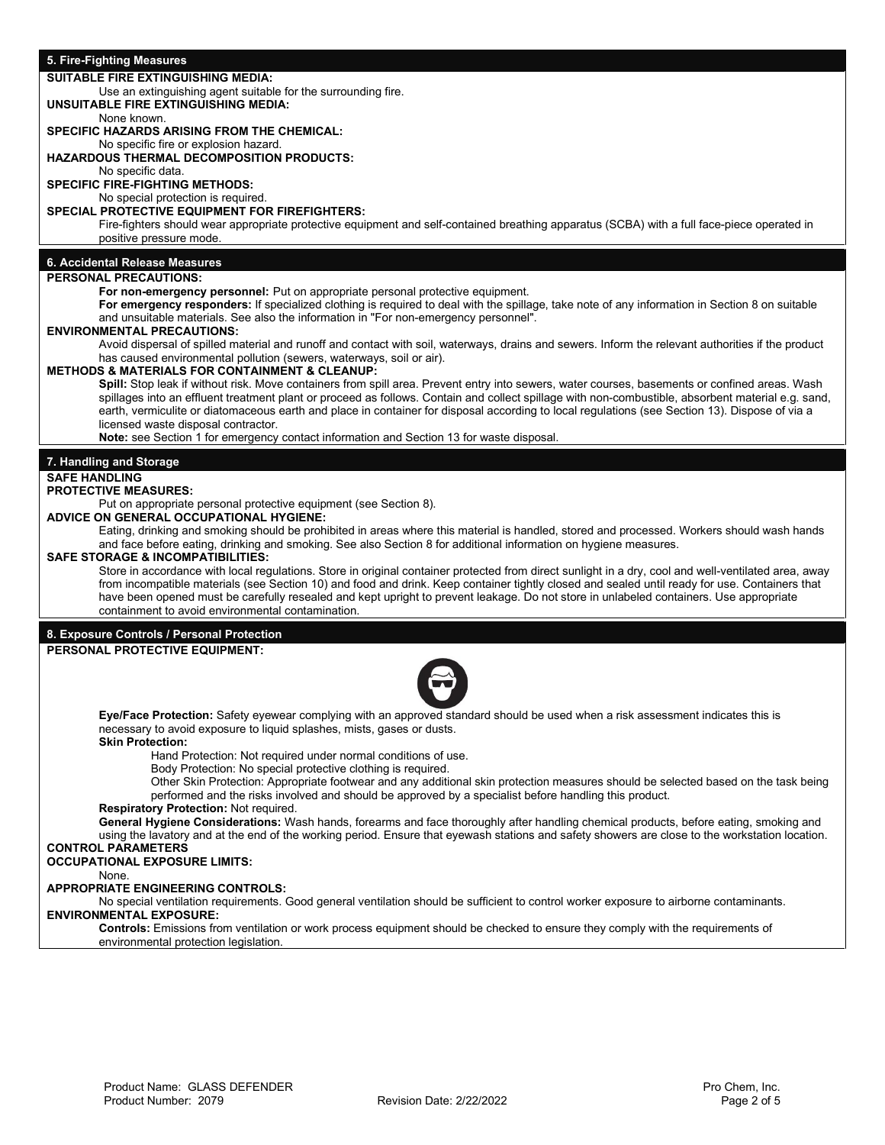### **5. Fire-Fighting Measures**

#### **SUITABLE FIRE EXTINGUISHING MEDIA:**

Use an extinguishing agent suitable for the surrounding fire.

**UNSUITABLE FIRE EXTINGUISHING MEDIA:**  None known.

# **SPECIFIC HAZARDS ARISING FROM THE CHEMICAL:**

No specific fire or explosion hazard.

# **HAZARDOUS THERMAL DECOMPOSITION PRODUCTS:**

No specific data.

**SPECIFIC FIRE-FIGHTING METHODS:** No special protection is required.

#### **SPECIAL PROTECTIVE EQUIPMENT FOR FIREFIGHTERS:**

Fire-fighters should wear appropriate protective equipment and self-contained breathing apparatus (SCBA) with a full face-piece operated in positive pressure mode.

# **6. Accidental Release Measures**

# **PERSONAL PRECAUTIONS:**

**For non-emergency personnel:** Put on appropriate personal protective equipment.

**For emergency responders:** If specialized clothing is required to deal with the spillage, take note of any information in Section 8 on suitable and unsuitable materials. See also the information in "For non-emergency personnel".

#### **ENVIRONMENTAL PRECAUTIONS:**

Avoid dispersal of spilled material and runoff and contact with soil, waterways, drains and sewers. Inform the relevant authorities if the product has caused environmental pollution (sewers, waterways, soil or air).

# **METHODS & MATERIALS FOR CONTAINMENT & CLEANUP:**

**Spill:** Stop leak if without risk. Move containers from spill area. Prevent entry into sewers, water courses, basements or confined areas. Wash spillages into an effluent treatment plant or proceed as follows. Contain and collect spillage with non-combustible, absorbent material e.g. sand, earth, vermiculite or diatomaceous earth and place in container for disposal according to local regulations (see Section 13). Dispose of via a licensed waste disposal contractor.

**Note:** see Section 1 for emergency contact information and Section 13 for waste disposal.

### **7. Handling and Storage**

#### **SAFE HANDLING**

#### **PROTECTIVE MEASURES:**

Put on appropriate personal protective equipment (see Section 8).

**ADVICE ON GENERAL OCCUPATIONAL HYGIENE:** 

Eating, drinking and smoking should be prohibited in areas where this material is handled, stored and processed. Workers should wash hands and face before eating, drinking and smoking. See also Section 8 for additional information on hygiene measures.

#### **SAFE STORAGE & INCOMPATIBILITIES:**

Store in accordance with local regulations. Store in original container protected from direct sunlight in a dry, cool and well-ventilated area, away from incompatible materials (see Section 10) and food and drink. Keep container tightly closed and sealed until ready for use. Containers that have been opened must be carefully resealed and kept upright to prevent leakage. Do not store in unlabeled containers. Use appropriate containment to avoid environmental contamination.

#### **8. Exposure Controls / Personal Protection PERSONAL PROTECTIVE EQUIPMENT:**



**Eye/Face Protection:** Safety eyewear complying with an approved standard should be used when a risk assessment indicates this is necessary to avoid exposure to liquid splashes, mists, gases or dusts.

# **Skin Protection:**

Hand Protection: Not required under normal conditions of use.

Body Protection: No special protective clothing is required.

Other Skin Protection: Appropriate footwear and any additional skin protection measures should be selected based on the task being performed and the risks involved and should be approved by a specialist before handling this product.

# **Respiratory Protection:** Not required.

**General Hygiene Considerations:** Wash hands, forearms and face thoroughly after handling chemical products, before eating, smoking and using the lavatory and at the end of the working period. Ensure that eyewash stations and safety showers are close to the workstation location. **CONTROL PARAMETERS**

# **OCCUPATIONAL EXPOSURE LIMITS:**

None.

#### **APPROPRIATE ENGINEERING CONTROLS:**

No special ventilation requirements. Good general ventilation should be sufficient to control worker exposure to airborne contaminants. **ENVIRONMENTAL EXPOSURE:**

**Controls:** Emissions from ventilation or work process equipment should be checked to ensure they comply with the requirements of environmental protection legislation.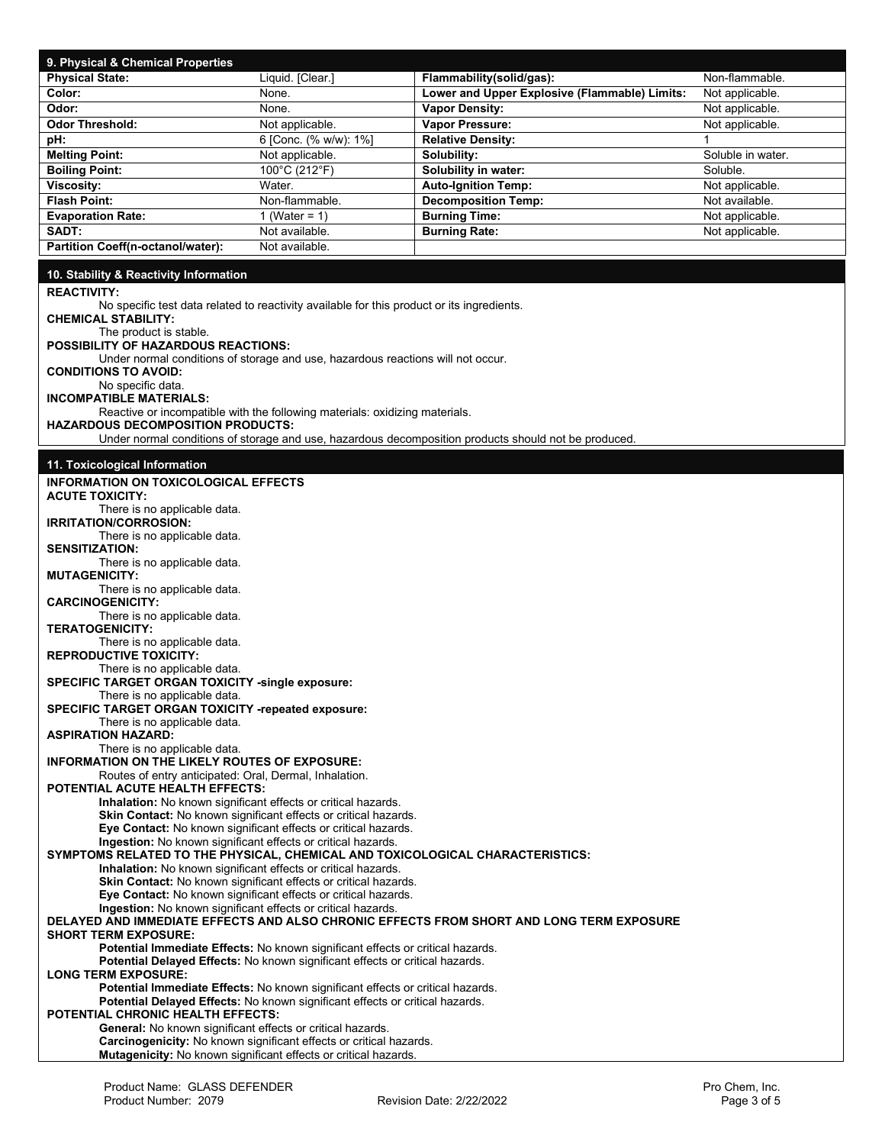| 9. Physical & Chemical Properties                                                                                                                              |                                                                                                                                       |                                                                                                      |                   |  |  |  |
|----------------------------------------------------------------------------------------------------------------------------------------------------------------|---------------------------------------------------------------------------------------------------------------------------------------|------------------------------------------------------------------------------------------------------|-------------------|--|--|--|
| <b>Physical State:</b>                                                                                                                                         | Liquid. [Clear.]                                                                                                                      | Flammability(solid/gas):                                                                             | Non-flammable.    |  |  |  |
| Color:                                                                                                                                                         | None.                                                                                                                                 | Lower and Upper Explosive (Flammable) Limits:                                                        | Not applicable.   |  |  |  |
| Odor:                                                                                                                                                          | None.                                                                                                                                 | <b>Vapor Density:</b>                                                                                | Not applicable.   |  |  |  |
| <b>Odor Threshold:</b>                                                                                                                                         | Not applicable.                                                                                                                       | Vapor Pressure:                                                                                      | Not applicable.   |  |  |  |
| pH:                                                                                                                                                            | 6 [Conc. (% w/w): 1%]                                                                                                                 | <b>Relative Density:</b>                                                                             | 1                 |  |  |  |
| <b>Melting Point:</b>                                                                                                                                          | Not applicable.                                                                                                                       | Solubility:                                                                                          | Soluble in water. |  |  |  |
| <b>Boiling Point:</b>                                                                                                                                          | 100°C (212°F)                                                                                                                         | Solubility in water:                                                                                 | Soluble.          |  |  |  |
| Viscosity:                                                                                                                                                     | Water.                                                                                                                                | <b>Auto-Ignition Temp:</b>                                                                           | Not applicable.   |  |  |  |
| <b>Flash Point:</b>                                                                                                                                            | Non-flammable.                                                                                                                        | <b>Decomposition Temp:</b>                                                                           | Not available.    |  |  |  |
| <b>Evaporation Rate:</b><br>SADT:                                                                                                                              | 1 (Water = $1$ )<br>Not available.                                                                                                    | <b>Burning Time:</b>                                                                                 | Not applicable.   |  |  |  |
| Partition Coeff(n-octanol/water):                                                                                                                              | Not available.                                                                                                                        | <b>Burning Rate:</b>                                                                                 | Not applicable.   |  |  |  |
|                                                                                                                                                                |                                                                                                                                       |                                                                                                      |                   |  |  |  |
| 10. Stability & Reactivity Information                                                                                                                         |                                                                                                                                       |                                                                                                      |                   |  |  |  |
| <b>REACTIVITY:</b>                                                                                                                                             |                                                                                                                                       |                                                                                                      |                   |  |  |  |
|                                                                                                                                                                | No specific test data related to reactivity available for this product or its ingredients.                                            |                                                                                                      |                   |  |  |  |
| <b>CHEMICAL STABILITY:</b>                                                                                                                                     |                                                                                                                                       |                                                                                                      |                   |  |  |  |
| The product is stable.<br><b>POSSIBILITY OF HAZARDOUS REACTIONS:</b>                                                                                           |                                                                                                                                       |                                                                                                      |                   |  |  |  |
|                                                                                                                                                                | Under normal conditions of storage and use, hazardous reactions will not occur.                                                       |                                                                                                      |                   |  |  |  |
| <b>CONDITIONS TO AVOID:</b>                                                                                                                                    |                                                                                                                                       |                                                                                                      |                   |  |  |  |
| No specific data.                                                                                                                                              |                                                                                                                                       |                                                                                                      |                   |  |  |  |
| <b>INCOMPATIBLE MATERIALS:</b>                                                                                                                                 |                                                                                                                                       |                                                                                                      |                   |  |  |  |
| <b>HAZARDOUS DECOMPOSITION PRODUCTS:</b>                                                                                                                       | Reactive or incompatible with the following materials: oxidizing materials.                                                           |                                                                                                      |                   |  |  |  |
|                                                                                                                                                                |                                                                                                                                       | Under normal conditions of storage and use, hazardous decomposition products should not be produced. |                   |  |  |  |
|                                                                                                                                                                |                                                                                                                                       |                                                                                                      |                   |  |  |  |
| 11. Toxicological Information                                                                                                                                  |                                                                                                                                       |                                                                                                      |                   |  |  |  |
| <b>INFORMATION ON TOXICOLOGICAL EFFECTS</b>                                                                                                                    |                                                                                                                                       |                                                                                                      |                   |  |  |  |
| <b>ACUTE TOXICITY:</b>                                                                                                                                         |                                                                                                                                       |                                                                                                      |                   |  |  |  |
| There is no applicable data.<br>IRRITATION/CORROSION:                                                                                                          |                                                                                                                                       |                                                                                                      |                   |  |  |  |
| There is no applicable data.                                                                                                                                   |                                                                                                                                       |                                                                                                      |                   |  |  |  |
| <b>SENSITIZATION:</b>                                                                                                                                          |                                                                                                                                       |                                                                                                      |                   |  |  |  |
| There is no applicable data.                                                                                                                                   |                                                                                                                                       |                                                                                                      |                   |  |  |  |
| <b>MUTAGENICITY:</b>                                                                                                                                           |                                                                                                                                       |                                                                                                      |                   |  |  |  |
| There is no applicable data.<br><b>CARCINOGENICITY:</b>                                                                                                        |                                                                                                                                       |                                                                                                      |                   |  |  |  |
| There is no applicable data.                                                                                                                                   |                                                                                                                                       |                                                                                                      |                   |  |  |  |
| <b>TERATOGENICITY:</b>                                                                                                                                         |                                                                                                                                       |                                                                                                      |                   |  |  |  |
| There is no applicable data.                                                                                                                                   |                                                                                                                                       |                                                                                                      |                   |  |  |  |
| <b>REPRODUCTIVE TOXICITY:</b>                                                                                                                                  |                                                                                                                                       |                                                                                                      |                   |  |  |  |
| There is no applicable data.<br><b>SPECIFIC TARGET ORGAN TOXICITY -single exposure:</b>                                                                        |                                                                                                                                       |                                                                                                      |                   |  |  |  |
| There is no applicable data.                                                                                                                                   |                                                                                                                                       |                                                                                                      |                   |  |  |  |
| <b>SPECIFIC TARGET ORGAN TOXICITY -repeated exposure:</b>                                                                                                      |                                                                                                                                       |                                                                                                      |                   |  |  |  |
| There is no applicable data.                                                                                                                                   |                                                                                                                                       |                                                                                                      |                   |  |  |  |
| <b>ASPIRATION HAZARD:</b>                                                                                                                                      |                                                                                                                                       |                                                                                                      |                   |  |  |  |
| There is no applicable data.<br><b>INFORMATION ON THE LIKELY ROUTES OF EXPOSURE:</b>                                                                           |                                                                                                                                       |                                                                                                      |                   |  |  |  |
| Routes of entry anticipated: Oral, Dermal, Inhalation.                                                                                                         |                                                                                                                                       |                                                                                                      |                   |  |  |  |
| POTENTIAL ACUTE HEALTH EFFECTS:                                                                                                                                |                                                                                                                                       |                                                                                                      |                   |  |  |  |
| Inhalation: No known significant effects or critical hazards.<br>Skin Contact: No known significant effects or critical hazards.                               |                                                                                                                                       |                                                                                                      |                   |  |  |  |
|                                                                                                                                                                | Eye Contact: No known significant effects or critical hazards.                                                                        |                                                                                                      |                   |  |  |  |
|                                                                                                                                                                | Ingestion: No known significant effects or critical hazards.                                                                          |                                                                                                      |                   |  |  |  |
| SYMPTOMS RELATED TO THE PHYSICAL. CHEMICAL AND TOXICOLOGICAL CHARACTERISTICS:                                                                                  |                                                                                                                                       |                                                                                                      |                   |  |  |  |
| Inhalation: No known significant effects or critical hazards.                                                                                                  |                                                                                                                                       |                                                                                                      |                   |  |  |  |
| Skin Contact: No known significant effects or critical hazards.<br>Eye Contact: No known significant effects or critical hazards.                              |                                                                                                                                       |                                                                                                      |                   |  |  |  |
| Ingestion: No known significant effects or critical hazards.                                                                                                   |                                                                                                                                       |                                                                                                      |                   |  |  |  |
|                                                                                                                                                                |                                                                                                                                       | DELAYED AND IMMEDIATE EFFECTS AND ALSO CHRONIC EFFECTS FROM SHORT AND LONG TERM EXPOSURE             |                   |  |  |  |
| <b>SHORT TERM EXPOSURE:</b>                                                                                                                                    |                                                                                                                                       |                                                                                                      |                   |  |  |  |
| Potential Immediate Effects: No known significant effects or critical hazards.<br>Potential Delayed Effects: No known significant effects or critical hazards. |                                                                                                                                       |                                                                                                      |                   |  |  |  |
| <b>LONG TERM EXPOSURE:</b>                                                                                                                                     |                                                                                                                                       |                                                                                                      |                   |  |  |  |
|                                                                                                                                                                | Potential Immediate Effects: No known significant effects or critical hazards.                                                        |                                                                                                      |                   |  |  |  |
|                                                                                                                                                                | Potential Delayed Effects: No known significant effects or critical hazards.                                                          |                                                                                                      |                   |  |  |  |
| POTENTIAL CHRONIC HEALTH EFFECTS:                                                                                                                              |                                                                                                                                       |                                                                                                      |                   |  |  |  |
| General: No known significant effects or critical hazards.                                                                                                     |                                                                                                                                       |                                                                                                      |                   |  |  |  |
|                                                                                                                                                                | Carcinogenicity: No known significant effects or critical hazards.<br>Mutagenicity: No known significant effects or critical hazards. |                                                                                                      |                   |  |  |  |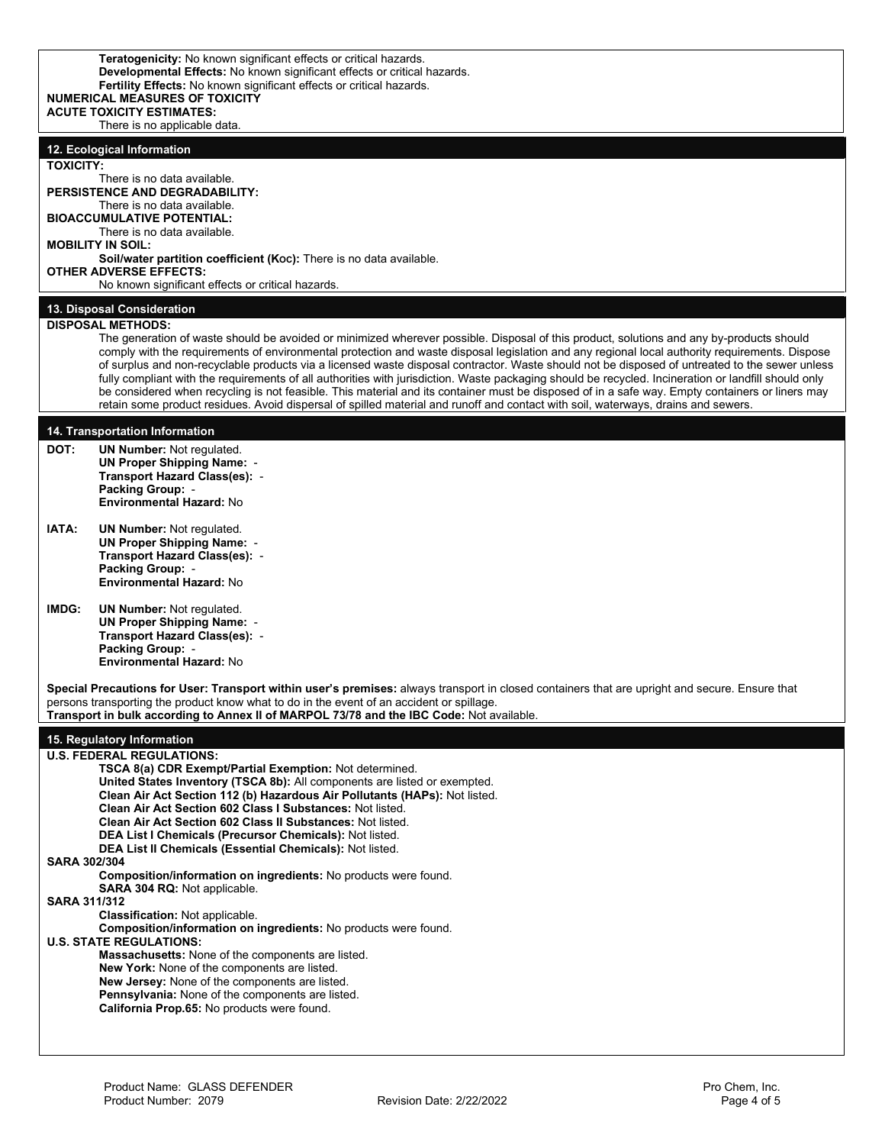| Teratogenicity: No known significant effects or critical hazards.<br>Developmental Effects: No known significant effects or critical hazards.<br>Fertility Effects: No known significant effects or critical hazards.<br><b>NUMERICAL MEASURES OF TOXICITY</b><br><b>ACUTE TOXICITY ESTIMATES:</b><br>There is no applicable data. |                                                                                                                                                                                                                                                                                                                                                                                                                                                                                                                                                                                                                                                                                                                                                                                                                                                                                                                          |  |  |  |  |
|------------------------------------------------------------------------------------------------------------------------------------------------------------------------------------------------------------------------------------------------------------------------------------------------------------------------------------|--------------------------------------------------------------------------------------------------------------------------------------------------------------------------------------------------------------------------------------------------------------------------------------------------------------------------------------------------------------------------------------------------------------------------------------------------------------------------------------------------------------------------------------------------------------------------------------------------------------------------------------------------------------------------------------------------------------------------------------------------------------------------------------------------------------------------------------------------------------------------------------------------------------------------|--|--|--|--|
|                                                                                                                                                                                                                                                                                                                                    | 12. Ecological Information                                                                                                                                                                                                                                                                                                                                                                                                                                                                                                                                                                                                                                                                                                                                                                                                                                                                                               |  |  |  |  |
| <b>TOXICITY:</b>                                                                                                                                                                                                                                                                                                                   |                                                                                                                                                                                                                                                                                                                                                                                                                                                                                                                                                                                                                                                                                                                                                                                                                                                                                                                          |  |  |  |  |
|                                                                                                                                                                                                                                                                                                                                    | There is no data available.<br><b>PERSISTENCE AND DEGRADABILITY:</b><br>There is no data available.                                                                                                                                                                                                                                                                                                                                                                                                                                                                                                                                                                                                                                                                                                                                                                                                                      |  |  |  |  |
| <b>BIOACCUMULATIVE POTENTIAL:</b><br>There is no data available.                                                                                                                                                                                                                                                                   |                                                                                                                                                                                                                                                                                                                                                                                                                                                                                                                                                                                                                                                                                                                                                                                                                                                                                                                          |  |  |  |  |
| <b>MOBILITY IN SOIL:</b>                                                                                                                                                                                                                                                                                                           |                                                                                                                                                                                                                                                                                                                                                                                                                                                                                                                                                                                                                                                                                                                                                                                                                                                                                                                          |  |  |  |  |
| Soil/water partition coefficient (Koc): There is no data available.<br><b>OTHER ADVERSE EFFECTS:</b><br>No known significant effects or critical hazards.                                                                                                                                                                          |                                                                                                                                                                                                                                                                                                                                                                                                                                                                                                                                                                                                                                                                                                                                                                                                                                                                                                                          |  |  |  |  |
|                                                                                                                                                                                                                                                                                                                                    | 13. Disposal Consideration                                                                                                                                                                                                                                                                                                                                                                                                                                                                                                                                                                                                                                                                                                                                                                                                                                                                                               |  |  |  |  |
|                                                                                                                                                                                                                                                                                                                                    | <b>DISPOSAL METHODS:</b><br>The generation of waste should be avoided or minimized wherever possible. Disposal of this product, solutions and any by-products should<br>comply with the requirements of environmental protection and waste disposal legislation and any regional local authority requirements. Dispose<br>of surplus and non-recyclable products via a licensed waste disposal contractor. Waste should not be disposed of untreated to the sewer unless<br>fully compliant with the requirements of all authorities with jurisdiction. Waste packaging should be recycled. Incineration or landfill should only<br>be considered when recycling is not feasible. This material and its container must be disposed of in a safe way. Empty containers or liners may<br>retain some product residues. Avoid dispersal of spilled material and runoff and contact with soil, waterways, drains and sewers. |  |  |  |  |
|                                                                                                                                                                                                                                                                                                                                    |                                                                                                                                                                                                                                                                                                                                                                                                                                                                                                                                                                                                                                                                                                                                                                                                                                                                                                                          |  |  |  |  |
| DOT:                                                                                                                                                                                                                                                                                                                               | 14. Transportation Information<br><b>UN Number: Not regulated.</b><br><b>UN Proper Shipping Name: -</b><br>Transport Hazard Class(es): -<br>Packing Group: -<br><b>Environmental Hazard: No</b>                                                                                                                                                                                                                                                                                                                                                                                                                                                                                                                                                                                                                                                                                                                          |  |  |  |  |
| IATA:                                                                                                                                                                                                                                                                                                                              | <b>UN Number: Not regulated.</b><br><b>UN Proper Shipping Name: -</b><br>Transport Hazard Class(es): -<br><b>Packing Group: -</b><br><b>Environmental Hazard: No</b>                                                                                                                                                                                                                                                                                                                                                                                                                                                                                                                                                                                                                                                                                                                                                     |  |  |  |  |
| <b>IMDG:</b>                                                                                                                                                                                                                                                                                                                       | <b>UN Number: Not regulated.</b><br><b>UN Proper Shipping Name: -</b><br>Transport Hazard Class(es): -<br>Packing Group: -<br><b>Environmental Hazard: No</b>                                                                                                                                                                                                                                                                                                                                                                                                                                                                                                                                                                                                                                                                                                                                                            |  |  |  |  |
|                                                                                                                                                                                                                                                                                                                                    | Special Precautions for User: Transport within user's premises: always transport in closed containers that are upright and secure. Ensure that<br>persons transporting the product know what to do in the event of an accident or spillage.<br>Transport in bulk according to Annex II of MARPOL 73/78 and the IBC Code: Not available.                                                                                                                                                                                                                                                                                                                                                                                                                                                                                                                                                                                  |  |  |  |  |
|                                                                                                                                                                                                                                                                                                                                    | 15. Regulatory Information                                                                                                                                                                                                                                                                                                                                                                                                                                                                                                                                                                                                                                                                                                                                                                                                                                                                                               |  |  |  |  |
| <b>SARA 302/304</b><br><b>SARA 311/312</b>                                                                                                                                                                                                                                                                                         | <b>U.S. FEDERAL REGULATIONS:</b><br>TSCA 8(a) CDR Exempt/Partial Exemption: Not determined.<br>United States Inventory (TSCA 8b): All components are listed or exempted.<br>Clean Air Act Section 112 (b) Hazardous Air Pollutants (HAPs): Not listed.<br>Clean Air Act Section 602 Class I Substances: Not listed.<br>Clean Air Act Section 602 Class II Substances: Not listed.<br>DEA List I Chemicals (Precursor Chemicals): Not listed.<br>DEA List II Chemicals (Essential Chemicals): Not listed.<br><b>Composition/information on ingredients:</b> No products were found.<br>SARA 304 RQ: Not applicable.<br><b>Classification: Not applicable.</b>                                                                                                                                                                                                                                                             |  |  |  |  |
|                                                                                                                                                                                                                                                                                                                                    | Composition/information on ingredients: No products were found.<br><b>U.S. STATE REGULATIONS:</b><br>Massachusetts: None of the components are listed.<br>New York: None of the components are listed.<br>New Jersey: None of the components are listed.<br>Pennsylvania: None of the components are listed.<br>California Prop.65: No products were found.                                                                                                                                                                                                                                                                                                                                                                                                                                                                                                                                                              |  |  |  |  |